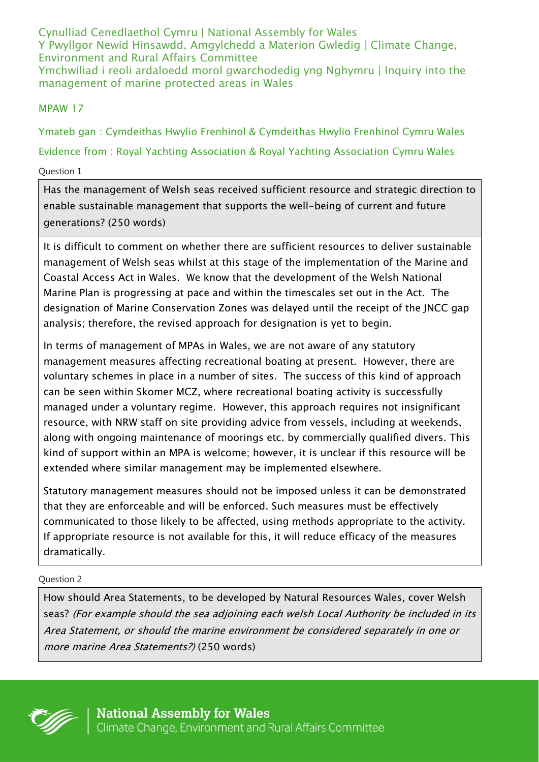Cynulliad Cenedlaethol Cymru | National Assembly for Wales Y Pwyllgor Newid Hinsawdd, Amgylchedd a Materion Gwledig | Climate Change, Environment and Rural Affairs Committee Ymchwiliad i reoli ardaloedd morol gwarchodedig yng Nghymru | Inquiry into the management of marine protected areas in Wales

## MPAW 17

Ymateb gan : Cymdeithas Hwylio Frenhinol & Cymdeithas Hwylio Frenhinol Cymru Wales Evidence from : Royal Yachting Association & Royal Yachting Association Cymru Wales Question 1

Has the management of Welsh seas received sufficient resource and strategic direction to enable sustainable management that supports the well-being of current and future generations? (250 words)

It is difficult to comment on whether there are sufficient resources to deliver sustainable management of Welsh seas whilst at this stage of the implementation of the Marine and Coastal Access Act in Wales. We know that the development of the Welsh National Marine Plan is progressing at pace and within the timescales set out in the Act. The designation of Marine Conservation Zones was delayed until the receipt of the JNCC gap analysis; therefore, the revised approach for designation is yet to begin.

In terms of management of MPAs in Wales, we are not aware of any statutory management measures affecting recreational boating at present. However, there are voluntary schemes in place in a number of sites. The success of this kind of approach can be seen within Skomer MCZ, where recreational boating activity is successfully managed under a voluntary regime. However, this approach requires not insignificant resource, with NRW staff on site providing advice from vessels, including at weekends, along with ongoing maintenance of moorings etc. by commercially qualified divers. This kind of support within an MPA is welcome; however, it is unclear if this resource will be extended where similar management may be implemented elsewhere.

Statutory management measures should not be imposed unless it can be demonstrated that they are enforceable and will be enforced. Such measures must be effectively communicated to those likely to be affected, using methods appropriate to the activity. If appropriate resource is not available for this, it will reduce efficacy of the measures dramatically.

## Question 2

How should Area Statements, to be developed by Natural Resources Wales, cover Welsh seas? (For example should the sea adjoining each welsh Local Authority be included in its Area Statement, or should the marine environment be considered separately in one or more marine Area Statements?) (250 words)

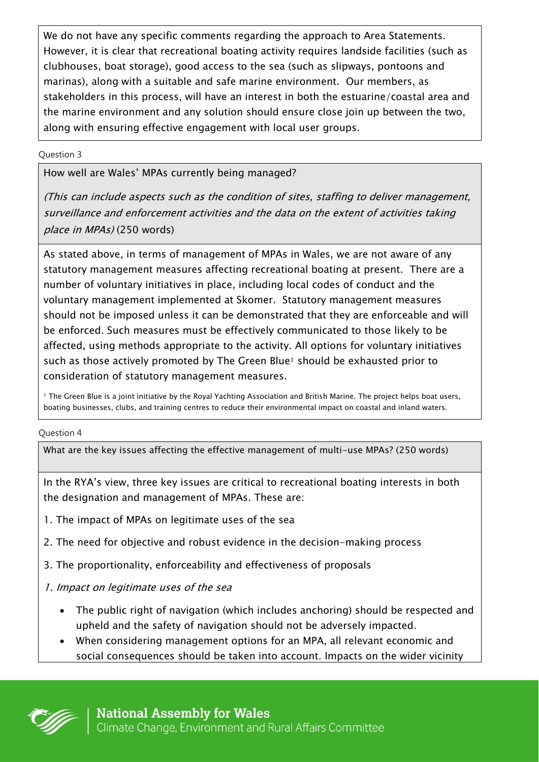We do not have any specific comments regarding the approach to Area Statements. However, it is clear that recreational boating activity requires landside facilities (such as clubhouses, boat storage), good access to the sea (such as slipways, pontoons and marinas), along with a suitable and safe marine environment. Our members, as stakeholders in this process, will have an interest in both the estuarine/coastal area and the marine environment and any solution should ensure close join up between the two, along with ensuring effective engagement with local user groups.

### Question 3

How well are Wales' MPAs currently being managed?

(This can include aspects such as the condition of sites, staffing to deliver management, surveillance and enforcement activities and the data on the extent of activities taking place in MPAs) (250 words)

As stated above, in terms of management of MPAs in Wales, we are not aware of any statutory management measures affecting recreational boating at present. There are a number of voluntary initiatives in place, including local codes of conduct and the voluntary management implemented at Skomer. Statutory management measures should not be imposed unless it can be demonstrated that they are enforceable and will be enforced. Such measures must be effectively communicated to those likely to be affected, using methods appropriate to the activity. All options for voluntary initiatives such as those actively promoted by The Green Blue<sup>1</sup> should be exhausted prior to consideration of statutory management measures.

<sup>1</sup> The Green Blue is a joint initiative by the Royal Yachting Association and British Marine. The project helps boat users, boating businesses, clubs, and training centres to reduce their environmental impact on coastal and inland waters.

#### Question 4

What are the key issues affecting the effective management of multi-use MPAs? (250 words)

In the RYA's view, three key issues are critical to recreational boating interests in both the designation and management of MPAs. These are:

- 1. The impact of MPAs on legitimate uses of the sea
- 2. The need for objective and robust evidence in the decision-making process
- 3. The proportionality, enforceability and effectiveness of proposals
- 1. Impact on legitimate uses of the sea
	- The public right of navigation (which includes anchoring) should be respected and upheld and the safety of navigation should not be adversely impacted.
	- When considering management options for an MPA, all relevant economic and social consequences should be taken into account. Impacts on the wider vicinity

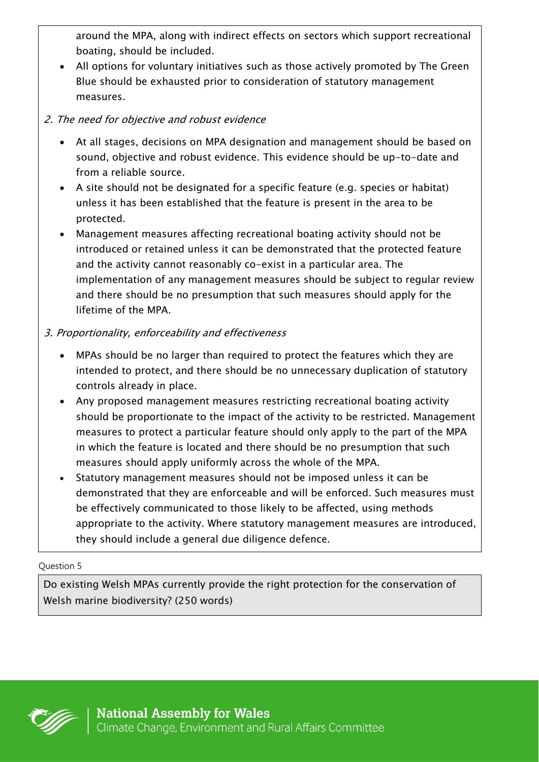around the MPA, along with indirect effects on sectors which support recreational boating, should be included.

 All options for voluntary initiatives such as those actively promoted by The Green Blue should be exhausted prior to consideration of statutory management measures.

# 2. The need for objective and robust evidence

- At all stages, decisions on MPA designation and management should be based on sound, objective and robust evidence. This evidence should be up-to-date and from a reliable source.
- A site should not be designated for a specific feature (e.g. species or habitat) unless it has been established that the feature is present in the area to be protected.
- Management measures affecting recreational boating activity should not be introduced or retained unless it can be demonstrated that the protected feature and the activity cannot reasonably co-exist in a particular area. The implementation of any management measures should be subject to regular review and there should be no presumption that such measures should apply for the lifetime of the MPA.

# 3. Proportionality, enforceability and effectiveness

- MPAs should be no larger than required to protect the features which they are intended to protect, and there should be no unnecessary duplication of statutory controls already in place.
- Any proposed management measures restricting recreational boating activity should be proportionate to the impact of the activity to be restricted. Management measures to protect a particular feature should only apply to the part of the MPA in which the feature is located and there should be no presumption that such measures should apply uniformly across the whole of the MPA.
- Statutory management measures should not be imposed unless it can be demonstrated that they are enforceable and will be enforced. Such measures must be effectively communicated to those likely to be affected, using methods appropriate to the activity. Where statutory management measures are introduced, they should include a general due diligence defence.

## Question 5

Do existing Welsh MPAs currently provide the right protection for the conservation of Welsh marine biodiversity? (250 words)

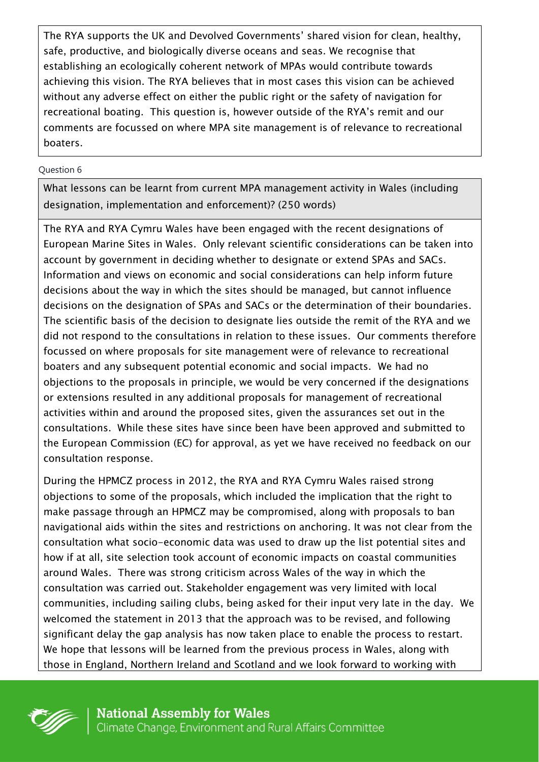The RYA supports the UK and Devolved Governments' shared vision for clean, healthy, safe, productive, and biologically diverse oceans and seas. We recognise that establishing an ecologically coherent network of MPAs would contribute towards achieving this vision. The RYA believes that in most cases this vision can be achieved without any adverse effect on either the public right or the safety of navigation for recreational boating. This question is, however outside of the RYA's remit and our comments are focussed on where MPA site management is of relevance to recreational boaters.

### Question 6

What lessons can be learnt from current MPA management activity in Wales (including designation, implementation and enforcement)? (250 words)

The RYA and RYA Cymru Wales have been engaged with the recent designations of European Marine Sites in Wales. Only relevant scientific considerations can be taken into account by government in deciding whether to designate or extend SPAs and SACs. Information and views on economic and social considerations can help inform future decisions about the way in which the sites should be managed, but cannot influence decisions on the designation of SPAs and SACs or the determination of their boundaries. The scientific basis of the decision to designate lies outside the remit of the RYA and we did not respond to the consultations in relation to these issues. Our comments therefore focussed on where proposals for site management were of relevance to recreational boaters and any subsequent potential economic and social impacts. We had no objections to the proposals in principle, we would be very concerned if the designations or extensions resulted in any additional proposals for management of recreational activities within and around the proposed sites, given the assurances set out in the consultations. While these sites have since been have been approved and submitted to the European Commission (EC) for approval, as yet we have received no feedback on our consultation response.

During the HPMCZ process in 2012, the RYA and RYA Cymru Wales raised strong objections to some of the proposals, which included the implication that the right to make passage through an HPMCZ may be compromised, along with proposals to ban navigational aids within the sites and restrictions on anchoring. It was not clear from the consultation what socio-economic data was used to draw up the list potential sites and how if at all, site selection took account of economic impacts on coastal communities around Wales. There was strong criticism across Wales of the way in which the consultation was carried out. Stakeholder engagement was very limited with local communities, including sailing clubs, being asked for their input very late in the day. We welcomed the statement in 2013 that the approach was to be revised, and following significant delay the gap analysis has now taken place to enable the process to restart. We hope that lessons will be learned from the previous process in Wales, along with those in England, Northern Ireland and Scotland and we look forward to working with

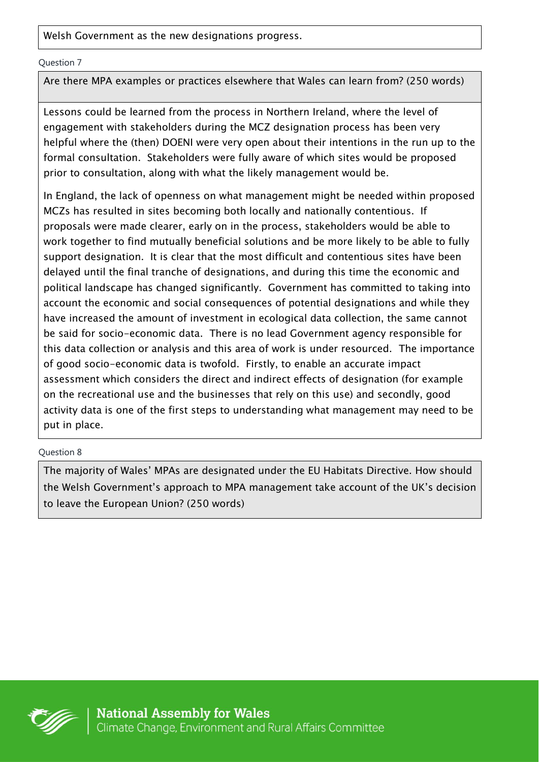Welsh Government as the new designations progress.

Question 7

Are there MPA examples or practices elsewhere that Wales can learn from? (250 words)

Lessons could be learned from the process in Northern Ireland, where the level of engagement with stakeholders during the MCZ designation process has been very helpful where the (then) DOENI were very open about their intentions in the run up to the formal consultation. Stakeholders were fully aware of which sites would be proposed prior to consultation, along with what the likely management would be.

In England, the lack of openness on what management might be needed within proposed MCZs has resulted in sites becoming both locally and nationally contentious. If proposals were made clearer, early on in the process, stakeholders would be able to work together to find mutually beneficial solutions and be more likely to be able to fully support designation. It is clear that the most difficult and contentious sites have been delayed until the final tranche of designations, and during this time the economic and political landscape has changed significantly. Government has committed to taking into account the economic and social consequences of potential designations and while they have increased the amount of investment in ecological data collection, the same cannot be said for socio-economic data. There is no lead Government agency responsible for this data collection or analysis and this area of work is under resourced. The importance of good socio-economic data is twofold. Firstly, to enable an accurate impact assessment which considers the direct and indirect effects of designation (for example on the recreational use and the businesses that rely on this use) and secondly, good activity data is one of the first steps to understanding what management may need to be put in place.

Question 8

The majority of Wales' MPAs are designated under the EU Habitats Directive. How should the Welsh Government's approach to MPA management take account of the UK's decision to leave the European Union? (250 words)

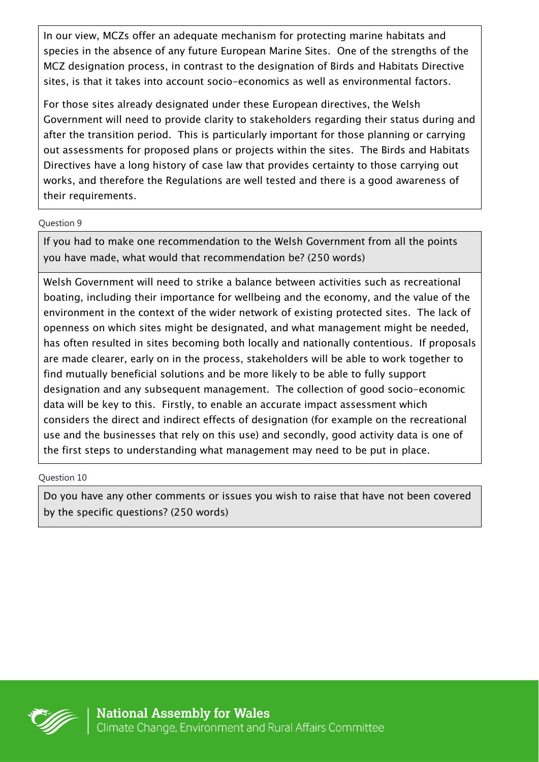In our view, MCZs offer an adequate mechanism for protecting marine habitats and species in the absence of any future European Marine Sites. One of the strengths of the MCZ designation process, in contrast to the designation of Birds and Habitats Directive sites, is that it takes into account socio-economics as well as environmental factors.

For those sites already designated under these European directives, the Welsh Government will need to provide clarity to stakeholders regarding their status during and after the transition period. This is particularly important for those planning or carrying out assessments for proposed plans or projects within the sites. The Birds and Habitats Directives have a long history of case law that provides certainty to those carrying out works, and therefore the Regulations are well tested and there is a good awareness of their requirements.

### Question 9

If you had to make one recommendation to the Welsh Government from all the points you have made, what would that recommendation be? (250 words)

Welsh Government will need to strike a balance between activities such as recreational boating, including their importance for wellbeing and the economy, and the value of the environment in the context of the wider network of existing protected sites. The lack of openness on which sites might be designated, and what management might be needed, has often resulted in sites becoming both locally and nationally contentious. If proposals are made clearer, early on in the process, stakeholders will be able to work together to find mutually beneficial solutions and be more likely to be able to fully support designation and any subsequent management. The collection of good socio-economic data will be key to this. Firstly, to enable an accurate impact assessment which considers the direct and indirect effects of designation (for example on the recreational use and the businesses that rely on this use) and secondly, good activity data is one of the first steps to understanding what management may need to be put in place.

Question 10

Do you have any other comments or issues you wish to raise that have not been covered by the specific questions? (250 words)